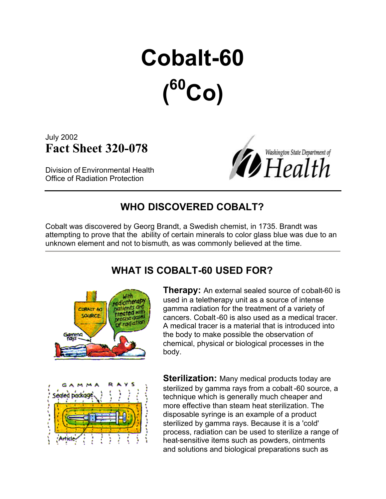# **Cobalt-60 ( <sup>60</sup>Co)**

July 2002 **Fact Sheet 320-078**

Division of Environmental Health Office of Radiation Protection



## **WHO DISCOVERED COBALT?**

Cobalt was discovered by Georg Brandt, a Swedish chemist, in 1735. Brandt was attempting to prove that the ability of certain minerals to color glass blue was due to an unknown element and not to bismuth, as was commonly believed at the time.

#### **WHAT IS COBALT-60 USED FOR?**



**Therapy:** An external sealed source of cobalt-60 is used in a teletherapy unit as a source of intense gamma radiation for the treatment of a variety of cancers. Cobalt-60 is also used as a medical tracer. A medical tracer is a material that is introduced into the body to make possible the observation of chemical, physical or biological processes in the body.



**Sterilization:** Many medical products today are sterilized by gamma rays from a cobalt -60 source, a technique which is generally much cheaper and more effective than steam heat sterilization. The disposable syringe is an example of a product sterilized by gamma rays. Because it is a 'cold' process, radiation can be used to sterilize a range of heat-sensitive items such as powders, ointments and solutions and biological preparations such as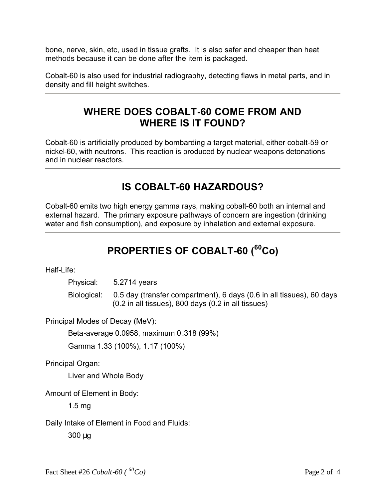bone, nerve, skin, etc, used in tissue grafts. It is also safer and cheaper than heat methods because it can be done after the item is packaged.

Cobalt-60 is also used for industrial radiography, detecting flaws in metal parts, and in density and fill height switches.

#### **WHERE DOES COBALT-60 COME FROM AND WHERE IS IT FOUND?**

Cobalt-60 is artificially produced by bombarding a target material, either cobalt-59 or nickel-60, with neutrons. This reaction is produced by nuclear weapons detonations and in nuclear reactors.

## **IS COBALT-60 HAZARDOUS?**

Cobalt-60 emits two high energy gamma rays, making cobalt-60 both an internal and external hazard. The primary exposure pathways of concern are ingestion (drinking water and fish consumption), and exposure by inhalation and external exposure.

# **PROPERTIES OF COBALT-60 (<sup>60</sup>Co)**

Half-Life:

Physical: 5.2714 years

Biological: 0.5 day (transfer compartment), 6 days (0.6 in all tissues), 60 days (0.2 in all tissues), 800 days (0.2 in all tissues)

Principal Modes of Decay (MeV):

Beta-average 0.0958, maximum 0.318 (99%)

Gamma 1.33 (100%), 1.17 (100%)

Principal Organ:

Liver and Whole Body

Amount of Element in Body:

1.5 mg

Daily Intake of Element in Food and Fluids:

300 μg